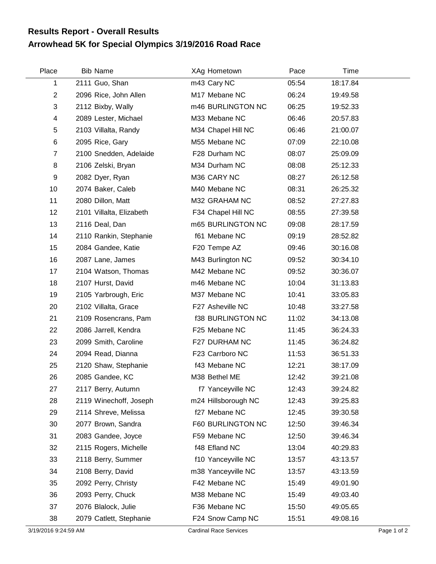## **Arrowhead 5K for Special Olympics 3/19/2016 Road Race Results Report - Overall Results**

| Place                     | <b>Bib Name</b>          | XAg Hometown             | Pace  | Time     |
|---------------------------|--------------------------|--------------------------|-------|----------|
| 1                         | 2111 Guo, Shan           | m43 Cary NC              | 05:54 | 18:17.84 |
| $\overline{c}$            | 2096 Rice, John Allen    | M17 Mebane NC            | 06:24 | 19:49.58 |
| $\ensuremath{\mathsf{3}}$ | 2112 Bixby, Wally        | m46 BURLINGTON NC        | 06:25 | 19:52.33 |
| 4                         | 2089 Lester, Michael     | M33 Mebane NC            | 06:46 | 20:57.83 |
| 5                         | 2103 Villalta, Randy     | M34 Chapel Hill NC       | 06:46 | 21:00.07 |
| 6                         | 2095 Rice, Gary          | M55 Mebane NC            | 07:09 | 22:10.08 |
| $\overline{7}$            | 2100 Snedden, Adelaide   | F28 Durham NC            | 08:07 | 25:09.09 |
| 8                         | 2106 Zelski, Bryan       | M34 Durham NC            | 08:08 | 25:12.33 |
| 9                         | 2082 Dyer, Ryan          | M36 CARY NC              | 08:27 | 26:12.58 |
| 10                        | 2074 Baker, Caleb        | M40 Mebane NC            | 08:31 | 26:25.32 |
| 11                        | 2080 Dillon, Matt        | M32 GRAHAM NC            | 08:52 | 27:27.83 |
| 12                        | 2101 Villalta, Elizabeth | F34 Chapel Hill NC       | 08:55 | 27:39.58 |
| 13                        | 2116 Deal, Dan           | m65 BURLINGTON NC        | 09:08 | 28:17.59 |
| 14                        | 2110 Rankin, Stephanie   | f61 Mebane NC            | 09:19 | 28:52.82 |
| 15                        | 2084 Gandee, Katie       | F20 Tempe AZ             | 09:46 | 30:16.08 |
| 16                        | 2087 Lane, James         | M43 Burlington NC        | 09:52 | 30:34.10 |
| 17                        | 2104 Watson, Thomas      | M42 Mebane NC            | 09:52 | 30:36.07 |
| 18                        | 2107 Hurst, David        | m46 Mebane NC            | 10:04 | 31:13.83 |
| 19                        | 2105 Yarbrough, Eric     | M37 Mebane NC            | 10:41 | 33:05.83 |
| 20                        | 2102 Villalta, Grace     | F27 Asheville NC         | 10:48 | 33:27.58 |
| 21                        | 2109 Rosencrans, Pam     | <b>f38 BURLINGTON NC</b> | 11:02 | 34:13.08 |
| 22                        | 2086 Jarrell, Kendra     | F25 Mebane NC            | 11:45 | 36:24.33 |
| 23                        | 2099 Smith, Caroline     | F27 DURHAM NC            | 11:45 | 36:24.82 |
| 24                        | 2094 Read, Dianna        | F23 Carrboro NC          | 11:53 | 36:51.33 |
| 25                        | 2120 Shaw, Stephanie     | f43 Mebane NC            | 12:21 | 38:17.09 |
| 26                        | 2085 Gandee, KC          | M38 Bethel ME            | 12:42 | 39:21.08 |
| 27                        | 2117 Berry, Autumn       | f7 Yanceyville NC        | 12:43 | 39:24.82 |
| 28                        | 2119 Winechoff, Joseph   | m24 Hillsborough NC      | 12:43 | 39:25.83 |
| 29                        | 2114 Shreve, Melissa     | f27 Mebane NC            | 12:45 | 39:30.58 |
| 30                        | 2077 Brown, Sandra       | F60 BURLINGTON NC        | 12:50 | 39:46.34 |
| 31                        | 2083 Gandee, Joyce       | F59 Mebane NC            | 12:50 | 39:46.34 |
| 32                        | 2115 Rogers, Michelle    | f48 Efland NC            | 13:04 | 40:29.83 |
| 33                        | 2118 Berry, Summer       | f10 Yanceyville NC       | 13:57 | 43:13.57 |
| 34                        | 2108 Berry, David        | m38 Yanceyville NC       | 13:57 | 43:13.59 |
| 35                        | 2092 Perry, Christy      | F42 Mebane NC            | 15:49 | 49:01.90 |
| 36                        | 2093 Perry, Chuck        | M38 Mebane NC            | 15:49 | 49:03.40 |
| 37                        | 2076 Blalock, Julie      | F36 Mebane NC            | 15:50 | 49:05.65 |
| 38                        | 2079 Catlett, Stephanie  | F24 Snow Camp NC         | 15:51 | 49:08.16 |